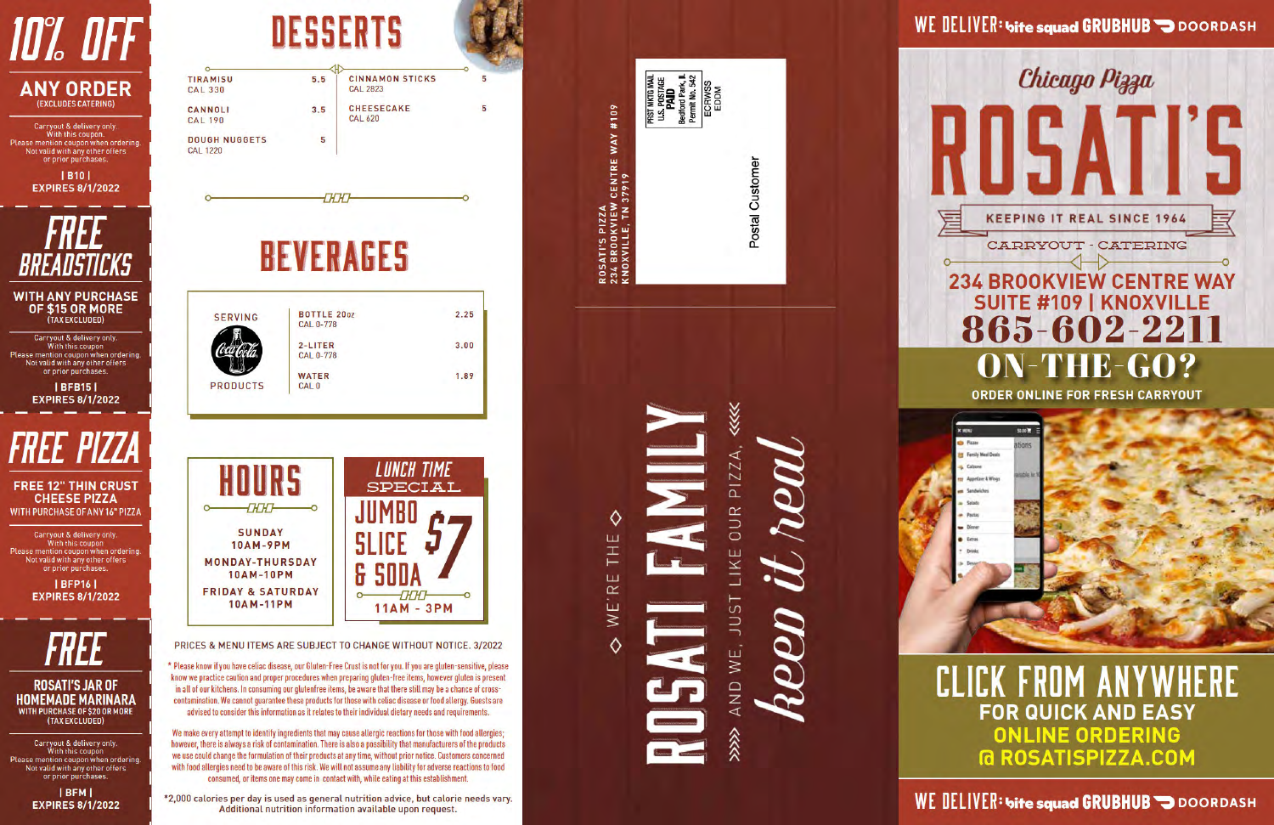

| <b>TIRAMISU</b><br><b>CAL 330</b>       | 5.5 | <b>CINNAMON STICKS</b><br><b>CAL 2823</b> | 5 |
|-----------------------------------------|-----|-------------------------------------------|---|
| CANNOLI<br><b>CAL 190</b>               | 3.5 | <b>CHEESECAKE</b><br><b>CAL 620</b>       | 5 |
| <b>DOUGH NUGGETS</b><br><b>CAL 1220</b> | 5   |                                           |   |



**CHCHC** 

## **BEVERAGES**

| <b>SERVING</b>  | <b>BOTTLE 2002</b> | 2.25 |
|-----------------|--------------------|------|
|                 | <b>CAL 0-778</b>   |      |
|                 | $2-LITER$          | 3.00 |
|                 | <b>CAL 0-778</b>   |      |
|                 | <b>WATER</b>       | 1.89 |
| <b>PRODUCTS</b> | CAL <sub>0</sub>   |      |



PRICES & MENU ITEMS ARE SUBJECT TO CHANGE WITHOUT NOTICE. 3/2022

\* Please know if you have celiac disease, our Gluten-Free Crust is not for you. If you are gluten-sensitive, please know we practice caution and proper procedures when preparing gluten-free items, however gluten is present in all of our kitchens. In consuming our glutenfree items, be aware that there still may be a chance of crosscontamination. We cannot guarantee these products for those with celiac disease or food allergy. Guests are advised to consider this information as it relates to their individual dietary needs and requirements.

We make every attempt to identify ingredients that may cause allergic reactions for those with food allergies; however, there is always a risk of contamination. There is also a possibility that manufacturers of the products we use could change the formulation of their products at any time, without prior notice. Customers concerned with food allergies need to be aware of this risk. We will not assume any liability for adverse reactions to food consumed, or items one may come in contact with, while eating at this establishment.

\*2,000 calories per day is used as general nutrition advice, but calorie needs vary. Additional nutrition information available upon request.

**PRST INKTG MAIL<br>U.S. POSTAGE<br>Bedford Park, IL<br>Bermit No. 542<br>ECRWSS<br>EDDM** ROSATI'S PIZZA<br>234 BROOKVIEW CENTRE WAY #109<br>KNOXVILLE, TN 37919 Postal Customer

## $P1ZZA$ **DURI** LIKE **LSNC** WE, AND  $\hat{\hat{z}}$

♦

WE'RE THE

 $\Diamond$ 

Chicago Pizza **KEEPING IT REAL SINCE 1964** CARRYOUT - CATERING **234 BROOKVIEW CENTRE WAY SUITE #109 | KNOXVILLE** 865-602-2211 ON-THE-GO? **ORDER ONLINE FOR FRESH CARRYOUT** saco**ne** x um **D** Pizzas tions Fersily Meal Death Calizone Appetizer & Wings

WE DELIVER: bite squad GRUBHUB DOORDASH

**CLICK FROM ANYWHERE FOR QUICK AND EASY ONLINE ORDERING @ ROSATISPIZZA.COM** 

WE DELIVER: bite squad GRUBHUB DOORDASH